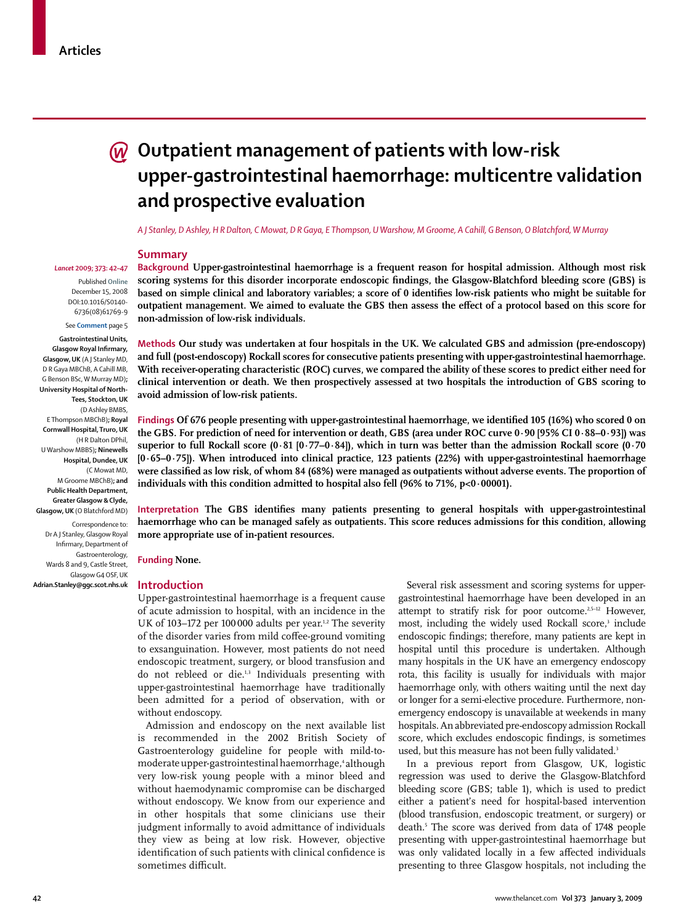# **Outpatient management of patients with low-risk upper-gastrointestinal haemorrhage: multicentre validation and prospective evaluation**

*A J Stanley, D Ashley, H R Dalton, C Mowat, D R Gaya, E Thompson, U Warshow, M Groome, A Cahill, G Benson, O Blatchford, W Murray*

#### **Summary**

*Lancet* **2009; 373: 42–47** Published **Online**

> December 15, 2008 DOI:10.1016/S0140- 6736(08)61769-9

> See **Comment** page 5

**Gastrointestinal Units, Glasgow Royal Infirmary, Glasgow, UK** (A J Stanley MD, D R Gaya MBChB, A Cahill MB, G Benson BSc, W Murray MD)**; University Hospital of North-Tees, Stockton, UK** (D Ashley BMBS, E Thompson MBChB)**; Royal Cornwall Hospital, Truro, UK**  (H R Dalton DPhil, U Warshow MBBS)**; Ninewells Hospital, Dundee, UK** (C Mowat MD, M Groome MBChB)**; and Public Health Department, Greater Glasgow & Clyde, Glasgow, UK** (O Blatchford MD) Correspondence to:

Dr A J Stanley, Glasgow Royal Infirmary, Department of Gastroenterology, Wards 8 and 9. Castle Street. Glasgow G4 OSF, UK **Adrian.Stanley@ggc.scot.nhs.uk** **Background Upper-gastrointestinal haemorrhage is a frequent reason for hospital admission. Although most risk**  scoring systems for this disorder incorporate endoscopic findings, the Glasgow-Blatchford bleeding score (GBS) is based on simple clinical and laboratory variables; a score of 0 identifies low-risk patients who might be suitable for outpatient management. We aimed to evaluate the GBS then assess the effect of a protocol based on this score for **non-admission of low-risk individuals.**

**Methods Our study was undertaken at four hospitals in the UK. We calculated GBS and admission (pre-endoscopy) and full (post-endoscopy) Rockall scores for consecutive patients presenting with upper-gastrointestinal haemorrhage. With receiver-operating characteristic (ROC) curves, we compared the ability of these scores to predict either need for clinical intervention or death. We then prospectively assessed at two hospitals the introduction of GBS scoring to avoid admission of low-risk patients.**

Findings Of 676 people presenting with upper-gastrointestinal haemorrhage, we identified 105 (16%) who scored 0 on **the GBS. For prediction of need for intervention or death, GBS (area under ROC curve 0·90 [95% CI 0·88–0·93]) was superior to full Rockall score (0·81 [0·77–0·84]), which in turn was better than the admission Rockall score (0·70 [0·65–0·75]). When introduced into clinical practice, 123 patients (22%) with upper-gastrointestinal haemorrhage**  were classified as low risk, of whom 84 (68%) were managed as outpatients without adverse events. The proportion of individuals with this condition admitted to hospital also fell (96% to 71%, p<0·00001).

Interpretation The GBS identifies many patients presenting to general hospitals with upper-gastrointestinal **haemorrhage who can be managed safely as outpatients. This score reduces admissions for this condition, allowing more appropriate use of in-patient resources.**

**Funding None.**

#### **Introduction**

Upper-gastrointestinal haemorrhage is a frequent cause of acute admission to hospital, with an incidence in the UK of 103–172 per 100 000 adults per year.<sup>1,2</sup> The severity of the disorder varies from mild coffee-ground vomiting to exsanguination. However, most patients do not need endoscopic treatment, surgery, or blood transfusion and do not rebleed or die.<sup>1,3</sup> Individuals presenting with upper-gastrointestinal haemorrhage have traditionally been admitted for a period of observation, with or without endoscopy.

Admission and endoscopy on the next available list is recommended in the 2002 British Society of Gastroenterology guideline for people with mild-tomoderate upper-gastrointestinal haemorrhage,<sup>4</sup> although very low-risk young people with a minor bleed and without haemodynamic compromise can be discharged without endoscopy. We know from our experience and in other hospitals that some clinicians use their judgment informally to avoid admittance of individuals they view as being at low risk. However, objective identification of such patients with clinical confidence is sometimes difficult.

Several risk assessment and scoring systems for uppergastrointestinal haemorrhage have been developed in an attempt to stratify risk for poor outcome.<sup>2,5-12</sup> However, most, including the widely used Rockall score,<sup>3</sup> include endoscopic findings; therefore, many patients are kept in hospital until this procedure is undertaken. Although many hospitals in the UK have an emergency endoscopy rota, this facility is usually for individuals with major haemorrhage only, with others waiting until the next day or longer for a semi-elective procedure. Furthermore, nonemergency endoscopy is unavailable at weekends in many hospitals. An abbreviated pre-endoscopy admission Rockall score, which excludes endoscopic findings, is sometimes used, but this measure has not been fully validated.<sup>3</sup>

In a previous report from Glasgow, UK, logistic regression was used to derive the Glasgow-Blatchford bleeding score (GBS; table 1), which is used to predict either a patient's need for hospital-based intervention (blood transfusion, endoscopic treatment, or surgery) or death.5 The score was derived from data of 1748 people presenting with upper-gastrointestinal haemorrhage but was only validated locally in a few affected individuals presenting to three Glasgow hospitals, not including the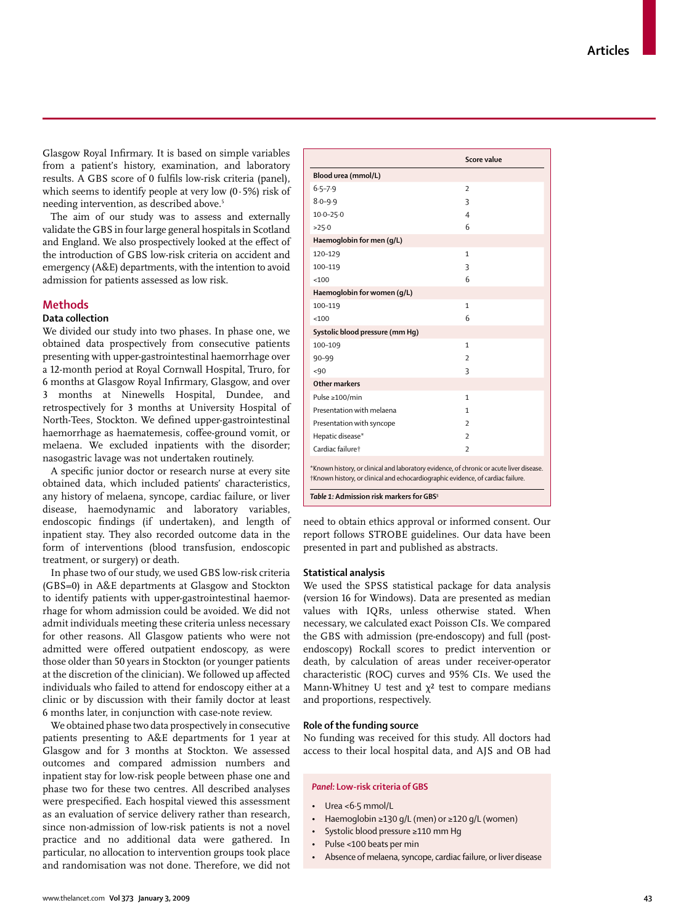www.thelancet.com**Vol 373 January 3, 2009 43**

Glasgow Royal Infirmary. It is based on simple variables from a patient's history, examination, and laboratory results. A GBS score of 0 fulfils low-risk criteria (panel), which seems to identify people at very low  $(0.5\%)$  risk of needing intervention, as described above.<sup>5</sup>

The aim of our study was to assess and externally validate the GBS in four large general hospitals in Scotland and England. We also prospectively looked at the effect of the introduction of GBS low-risk criteria on accident and emergency (A&E) departments, with the intention to avoid admission for patients assessed as low risk.

# **Methods**

# **Data collection**

We divided our study into two phases. In phase one, we obtained data prospectively from consecutive patients presenting with upper-gastrointestinal haemorrhage over a 12-month period at Royal Cornwall Hospital, Truro, for 6 months at Glasgow Royal Infirmary, Glasgow, and over 3 months at Ninewells Hospital, Dundee, and retrospectively for 3 months at University Hospital of North-Tees, Stockton. We defined upper-gastrointestinal haemorrhage as haematemesis, coffee-ground vomit, or melaena. We excluded inpatients with the disorder; nasogastric lavage was not undertaken routinely.

A specific junior doctor or research nurse at every site obtained data, which included patients' characteristics, any history of melaena, syncope, cardiac failure, or liver disease, haemodynamic and laboratory variables, endoscopic findings (if undertaken), and length of inpatient stay. They also recorded outcome data in the form of interventions (blood transfusion, endoscopic treatment, or surgery) or death.

In phase two of our study, we used GBS low-risk criteria (GBS=0) in A&E departments at Glasgow and Stockton to identify patients with upper-gastrointestinal haemorrhage for whom admission could be avoided. We did not admit individuals meeting these criteria unless necessary for other reasons. All Glasgow patients who were not admitted were offered outpatient endoscopy, as were those older than 50 years in Stockton (or younger patients at the discretion of the clinician). We followed up affected individuals who failed to attend for endoscopy either at a clinic or by discussion with their family doctor at least 6 months later, in conjunction with case-note review.

We obtained phase two data prospectively in consecutive patients presenting to A&E departments for 1 year at Glasgow and for 3 months at Stockton. We assessed outcomes and compared admission numbers and inpatient stay for low-risk people between phase one and phase two for these two centres. All described analyses were prespecified. Each hospital viewed this assessment as an evaluation of service delivery rather than research, since non-admission of low-risk patients is not a novel practice and no additional data were gathered. In particular, no allocation to intervention groups took place and randomisation was not done. Therefore, we did not

| <100                                                                                                                                                                       | 6                        |
|----------------------------------------------------------------------------------------------------------------------------------------------------------------------------|--------------------------|
| Haemoglobin for women (q/L)                                                                                                                                                |                          |
| 100-119                                                                                                                                                                    | $\mathbf{1}$             |
| < 100                                                                                                                                                                      | 6                        |
| Systolic blood pressure (mm Hq)                                                                                                                                            |                          |
| 100-109                                                                                                                                                                    | 1                        |
| $90 - 99$                                                                                                                                                                  | $\overline{\phantom{a}}$ |
| ~100                                                                                                                                                                       | 3                        |
| Other markers                                                                                                                                                              |                          |
| Pulse ≥100/min                                                                                                                                                             | $\mathbf{1}$             |
| Presentation with melaena                                                                                                                                                  | 1                        |
| Presentation with syncope                                                                                                                                                  | $\overline{\phantom{a}}$ |
| Hepatic disease*                                                                                                                                                           | $\overline{\phantom{a}}$ |
| Cardiac failuret                                                                                                                                                           | $\overline{\phantom{a}}$ |
| *Known history, or clinical and laboratory evidence, of chronic or acute liver disease.<br>†Known history, or clinical and echocardiographic evidence, of cardiac failure. |                          |
| Table 1: Admission risk markers for GBS <sup>5</sup>                                                                                                                       |                          |
|                                                                                                                                                                            |                          |

**Score value**

need to obtain ethics approval or informed consent. Our report follows STROBE guidelines. Our data have been presented in part and published as abstracts.

#### **Statistical analysis**

**Blood urea (mmol/L)**

**Haemoglobin for men (g/L)**

6·5–7·9 2 8·0–9·9 3 10·0–25·0 4 >25·0 6

120–129 1 100–119 3

We used the SPSS statistical package for data analysis (version 16 for Windows). Data are presented as median values with IQRs, unless otherwise stated. When necessary, we calculated exact Poisson CIs. We compared the GBS with admission (pre-endoscopy) and full (postendoscopy) Rockall scores to predict intervention or death, by calculation of areas under receiver-operator characteristic (ROC) curves and 95% CIs. We used the Mann-Whitney U test and  $\chi^2$  test to compare medians and proportions, respectively.

#### **Role of the funding source**

No funding was received for this study. All doctors had access to their local hospital data, and AJS and OB had

#### *Panel:* **Low-risk criteria of GBS**

- Urea <6·5 mmol/L
- Haemoglobin ≥130 g/L (men) or ≥120 g/L (women)
- Systolic blood pressure ≥110 mm Hg
- Pulse <100 beats per min
- Absence of melaena, syncope, cardiac failure, or liver disease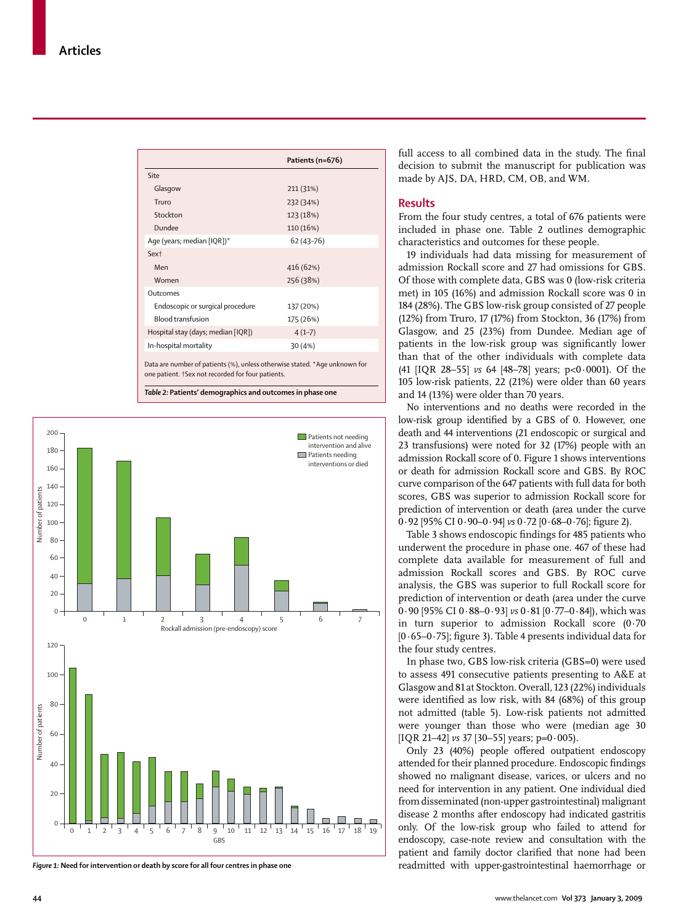|                                                                                                                 | Patients (n=676) |
|-----------------------------------------------------------------------------------------------------------------|------------------|
| Site                                                                                                            |                  |
| Glasgow                                                                                                         | 211 (31%)        |
| Truro                                                                                                           | 232 (34%)        |
| Stockton                                                                                                        | 123 (18%)        |
| Dundee                                                                                                          | 110 (16%)        |
| Age (years; median [IQR])*                                                                                      | $62(43 - 76)$    |
| Sex <sup>+</sup>                                                                                                |                  |
| Men                                                                                                             | 416 (62%)        |
| Women                                                                                                           | 256 (38%)        |
| Outcomes                                                                                                        |                  |
| Endoscopic or surgical procedure                                                                                | 137 (20%)        |
| <b>Blood transfusion</b>                                                                                        | 175 (26%)        |
| Hospital stay (days; median [IQR])                                                                              | $4(1-7)$         |
| In-hospital mortality                                                                                           | 30(4%)           |
| the contract of the contract of the contract of the contract of the contract of the contract of the contract of |                  |

Data are number of patients (%), unless otherwise stated. \*Age unknown for one patient. †Sex not recorded for four patients.

*Table 2:* **Patients' demographics and outcomes in phase one**



*Figure 1:* **Need for intervention or death by score for all four centres in phase one**

full access to all combined data in the study. The final decision to submit the manuscript for publication was made by AJS, DA, HRD, CM, OB, and WM.

#### **Results**

From the four study centres, a total of 676 patients were included in phase one. Table 2 outlines demographic characteristics and outcomes for these people.

19 individuals had data missing for measurement of admission Rockall score and 27 had omissions for GBS. Of those with complete data, GBS was 0 (low-risk criteria met) in 105 (16%) and admission Rockall score was 0 in 184 (28%). The GBS low-risk group consisted of 27 people (12%) from Truro, 17 (17%) from Stockton, 36 (17%) from Glasgow, and 25 (23%) from Dundee. Median age of patients in the low-risk group was significantly lower than that of the other individuals with complete data (41 [IQR 28–55] *vs* 64 [48–78] years; p<0·0001). Of the 105 low-risk patients, 22 (21%) were older than 60 years and 14 (13%) were older than 70 years.

No interventions and no deaths were recorded in the low-risk group identified by a GBS of 0. However, one death and 44 interventions (21 endoscopic or surgical and 23 transfusions) were noted for 32 (17%) people with an admission Rockall score of 0. Figure 1 shows interventions or death for admission Rockall score and GBS. By ROC curve comparison of the 647 patients with full data for both scores, GBS was superior to admission Rockall score for prediction of intervention or death (area under the curve 0·92 [95% CI 0·90-0·94] *vs* 0·72 [0·68-0·76]; figure 2).

Table 3 shows endoscopic findings for 485 patients who underwent the procedure in phase one. 467 of these had complete data available for measurement of full and admission Rockall scores and GBS. By ROC curve analysis, the GBS was superior to full Rockall score for prediction of intervention or death (area under the curve 0·90 [95% CI 0·88–0·93] *vs* 0·81 [0·77–0·84]), which was in turn superior to admission Rockall score (0·70  $[0.65-0.75]$ ; figure 3). Table 4 presents individual data for the four study centres.

In phase two, GBS low-risk criteria (GBS=0) were used to assess 491 consecutive patients presenting to A&E at Glasgow and 81 at Stockton. Overall, 123 (22%) individuals were identified as low risk, with 84 (68%) of this group not admitted (table 5). Low-risk patients not admitted were younger than those who were (median age 30 [IQR 21–42] *vs* 37 [30–55] years; p=0·005).

Only 23 (40%) people offered outpatient endoscopy attended for their planned procedure. Endoscopic findings showed no malignant disease, varices, or ulcers and no need for intervention in any patient. One individual died from disseminated (non-upper gastrointestinal) malignant disease 2 months after endoscopy had indicated gastritis only. Of the low-risk group who failed to attend for endoscopy, case-note review and consultation with the patient and family doctor clarified that none had been readmitted with upper-gastrointestinal haemorrhage or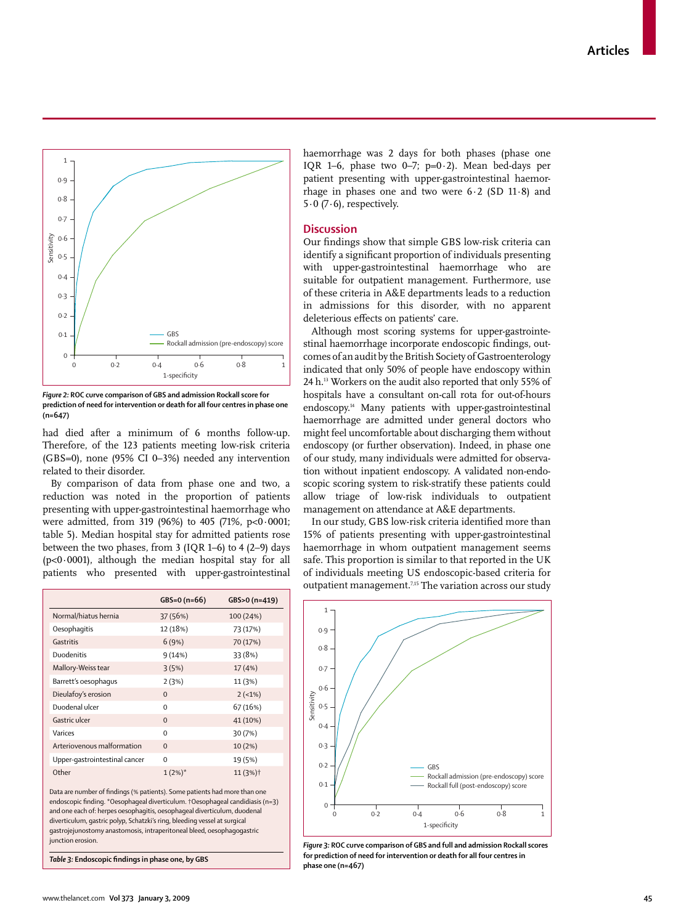

*Figure 2:* **ROC curve comparison of GBS and admission Rockall score for prediction of need for intervention or death for all four centres in phase one (n=647)**

| 0.4<br>$0.3$ .<br>0.2<br>$0.1$ .<br>0                                                                                                                                                                                                                                                                                                                                                                                                                                                                                                                                                  | - GBS<br>т                  | - Rockall admission (pre-endoscopy) score<br>T<br>T. |
|----------------------------------------------------------------------------------------------------------------------------------------------------------------------------------------------------------------------------------------------------------------------------------------------------------------------------------------------------------------------------------------------------------------------------------------------------------------------------------------------------------------------------------------------------------------------------------------|-----------------------------|------------------------------------------------------|
| 0.2<br>0                                                                                                                                                                                                                                                                                                                                                                                                                                                                                                                                                                               | 0.6<br>0.4<br>1-specificity | 0.8<br>$\mathbf{1}$                                  |
| iqure 2: ROC curve comparison of GBS and admission Rockall score for<br>rediction of need for intervention or death for all four centres in phase one<br>n=647)<br>ad died after a minimum of 6 months follow-up<br>Therefore, of the 123 patients meeting low-risk criteria<br>GBS=0), none (95% CI 0–3%) needed any intervention<br>elated to their disorder.<br>By comparison of data from phase one and two, a<br>eduction was noted in the proportion of patients<br>resenting with upper-gastrointestinal haemorrhage who<br>vere admitted, from 319 (96%) to 405 (71%, p<0.0001 |                             |                                                      |
|                                                                                                                                                                                                                                                                                                                                                                                                                                                                                                                                                                                        |                             |                                                      |
|                                                                                                                                                                                                                                                                                                                                                                                                                                                                                                                                                                                        | $GBS=0 (n=66)$              | GBS>0 (n=419)                                        |
| Normal/hiatus hernia                                                                                                                                                                                                                                                                                                                                                                                                                                                                                                                                                                   | 37 (56%)                    | 100 (24%)                                            |
| Oesophagitis                                                                                                                                                                                                                                                                                                                                                                                                                                                                                                                                                                           | 12 (18%)                    | 73 (17%)                                             |
| Gastritis                                                                                                                                                                                                                                                                                                                                                                                                                                                                                                                                                                              | 6(9%)                       | 70 (17%)                                             |
| able 5). Median hospital stay for admitted patients rose<br>etween the two phases, from 3 (IQR 1-6) to 4 (2-9) days<br>p<0.0001), although the median hospital stay for all<br>patients who presented with upper-gastrointestinal<br>Duodenitis                                                                                                                                                                                                                                                                                                                                        | 9(14%)                      | 33 (8%)                                              |
| Mallory-Weiss tear                                                                                                                                                                                                                                                                                                                                                                                                                                                                                                                                                                     | 3(5%)                       | 17 (4%)                                              |
| Barrett's oesophagus                                                                                                                                                                                                                                                                                                                                                                                                                                                                                                                                                                   | 2(3%)                       | 11 (3%)                                              |
| Dieulafoy's erosion                                                                                                                                                                                                                                                                                                                                                                                                                                                                                                                                                                    | 0                           | $2(-1%)$                                             |
| Duodenal ulcer                                                                                                                                                                                                                                                                                                                                                                                                                                                                                                                                                                         | 0                           | 67 (16%)                                             |
| Gastric ulcer                                                                                                                                                                                                                                                                                                                                                                                                                                                                                                                                                                          | 0                           | 41 (10%)                                             |
| Varices                                                                                                                                                                                                                                                                                                                                                                                                                                                                                                                                                                                | 0                           | 30 (7%)                                              |
| Arteriovenous malformation                                                                                                                                                                                                                                                                                                                                                                                                                                                                                                                                                             | $\mathbf 0$                 | 10 (2%)                                              |
| Upper-gastrointestinal cancer                                                                                                                                                                                                                                                                                                                                                                                                                                                                                                                                                          | 0                           | 19 (5%)                                              |
| Other                                                                                                                                                                                                                                                                                                                                                                                                                                                                                                                                                                                  | $1(2%)$ *                   | 11 (3%) <sup>†</sup>                                 |

haemorrhage was 2 days for both phases (phase one IQR 1–6, phase two 0–7; p=0 $\cdot$ 2). Mean bed-days per patient presenting with upper-gastrointestinal haemorrhage in phases one and two were  $6·2$  (SD 11 $·8$ ) and  $5.0$  (7 $.6$ ), respectively.

### **Discussion**

Our findings show that simple GBS low-risk criteria can identify a significant proportion of individuals presenting with upper-gastrointestinal haemorrhage who are suitable for outpatient management. Furthermore, use of these criteria in A&E departments leads to a reduction in admissions for this disorder, with no apparent deleterious effects on patients' care.

Although most scoring systems for upper-gastrointestinal haemorrhage incorporate endoscopic findings, outcomes of an audit by the British Society of Gastroenterology indicated that only 50% of people have endoscopy within 24 h.13 Workers on the audit also reported that only 55% of hospitals have a consultant on-call rota for out-of-hours endoscopy.14 Many patients with upper-gastrointestinal haemorrhage are admitted under general doctors who might feel uncomfortable about discharging them without endoscopy (or further observation). Indeed, in phase one of our study, many individuals were admitted for observation without inpatient endoscopy. A validated non-endoscopic scoring system to risk-stratify these patients could allow triage of low-risk individuals to outpatient management on attendance at A&E departments.

In our study, GBS low-risk criteria identified more than 15% of patients presenting with upper-gastrointestinal haemorrhage in whom outpatient management seems safe. This proportion is similar to that reported in the UK of individuals meeting US endoscopic-based criteria for outpatient management.<sup>7,15</sup> The variation across our study



*Figure 3:* **ROC curve comparison of GBS and full and admission Rockall scores for prediction of need for intervention or death for all four centres in phase one (n=467)**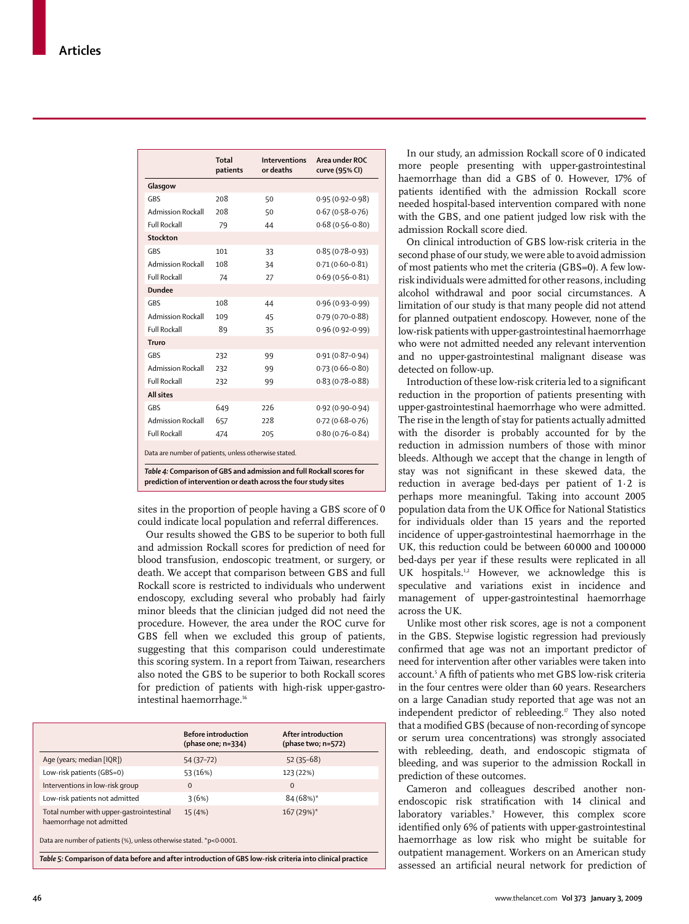|                          | Total<br>patients | Interventions<br>or deaths | Area under ROC<br>curve (95% CI) |
|--------------------------|-------------------|----------------------------|----------------------------------|
| Glasgow                  |                   |                            |                                  |
| <b>GRS</b>               | 208               | 50                         | $0.95(0.92 - 0.98)$              |
| <b>Admission Rockall</b> | 208               | 50                         | $0.67(0.58 - 0.76)$              |
| <b>Full Rockall</b>      | 79                | 44                         | $0.68(0.56 - 0.80)$              |
| Stockton                 |                   |                            |                                  |
| GBS                      | 101               | 33                         | $0.85(0.78 - 0.93)$              |
| <b>Admission Rockall</b> | 108               | 34                         | $0.71(0.60 - 0.81)$              |
| <b>Full Rockall</b>      | 74                | 27                         | $0.69(0.56 - 0.81)$              |
| <b>Dundee</b>            |                   |                            |                                  |
| <b>GRS</b>               | 108               | 44                         | $0.96(0.93 - 0.99)$              |
| <b>Admission Rockall</b> | 109               | 45                         | $0.79(0.70-0.88)$                |
| <b>Full Rockall</b>      | 89                | 35                         | $0.96(0.92 - 0.99)$              |
| Truro                    |                   |                            |                                  |
| GBS                      | 232               | 99                         | $0.91(0.87 - 0.94)$              |
| <b>Admission Rockall</b> | 232               | 99                         | $0.73(0.66 - 0.80)$              |
| <b>Full Rockall</b>      | 232               | 99                         | $0.83(0.78 - 0.88)$              |
| <b>All sites</b>         |                   |                            |                                  |
| GBS                      | 649               | 226                        | $0.92(0.90 - 0.94)$              |
| <b>Admission Rockall</b> | 657               | 228                        | $0.72(0.68 - 0.76)$              |
| <b>Full Rockall</b>      | 474               | 205                        | $0.80(0.76 - 0.84)$              |
|                          |                   |                            |                                  |

Data are number of patients, unless otherwise stated.

*Table 4:* **Comparison of GBS and admission and full Rockall scores for prediction of intervention or death across the four study sites**

sites in the proportion of people having a GBS score of 0 could indicate local population and referral differences.

Our results showed the GBS to be superior to both full and admission Rockall scores for prediction of need for blood transfusion, endoscopic treatment, or surgery, or death. We accept that comparison between GBS and full Rockall score is restricted to individuals who underwent endoscopy, excluding several who probably had fairly minor bleeds that the clinician judged did not need the procedure. However, the area under the ROC curve for GBS fell when we excluded this group of patients, suggesting that this comparison could underestimate this scoring system. In a report from Taiwan, researchers also noted the GBS to be superior to both Rockall scores for prediction of patients with high-risk upper-gastrointestinal haemorrhage.<sup>16</sup>

|                                                                      | <b>Before introduction</b><br>(phase one; $n=334$ ) | After introduction<br>(phase two; n=572) |
|----------------------------------------------------------------------|-----------------------------------------------------|------------------------------------------|
| Age (years; median [IQR])                                            | 54 (37-72)                                          | $52(35-68)$                              |
| Low-risk patients (GBS=0)                                            | 53 (16%)                                            | 123 (22%)                                |
| Interventions in low-risk group                                      | $\Omega$                                            | $\Omega$                                 |
| Low-risk patients not admitted                                       | 3(6%)                                               | 84 (68%)*                                |
| Total number with upper-gastrointestinal<br>haemorrhage not admitted | 15 (4%)                                             | 167 (29%)*                               |

Data are number of patients (%), unless otherwise stated. \*p<0·0001.

*Table 5:* **Comparison of data before and after introduction of GBS low-risk criteria into clinical practice**

In our study, an admission Rockall score of 0 indicated more people presenting with upper-gastrointestinal haemorrhage than did a GBS of 0. However, 17% of patients identified with the admission Rockall score needed hospital-based intervention compared with none with the GBS, and one patient judged low risk with the admission Rockall score died.

On clinical introduction of GBS low-risk criteria in the second phase of our study, we were able to avoid admission of most patients who met the criteria (GBS=0). A few lowrisk individuals were admitted for other reasons, including alcohol withdrawal and poor social circumstances. A limitation of our study is that many people did not attend for planned outpatient endoscopy. However, none of the low-risk patients with upper-gastrointestinal haemorrhage who were not admitted needed any relevant intervention and no upper-gastrointestinal malignant disease was detected on follow-up.

Introduction of these low-risk criteria led to a significant reduction in the proportion of patients presenting with upper-gastrointestinal haemorrhage who were admitted. The rise in the length of stay for patients actually admitted with the disorder is probably accounted for by the reduction in admission numbers of those with minor bleeds. Although we accept that the change in length of stay was not significant in these skewed data, the reduction in average bed-days per patient of 1·2 is perhaps more meaningful. Taking into account 2005 population data from the UK Office for National Statistics for individuals older than 15 years and the reported incidence of upper-gastrointestinal haemorrhage in the UK, this reduction could be between 60 000 and 100 000 bed-days per year if these results were replicated in all UK hospitals.<sup>1,2</sup> However, we acknowledge this is speculative and variations exist in incidence and management of upper-gastrointestinal haemorrhage across the UK.

Unlike most other risk scores, age is not a component in the GBS. Stepwise logistic regression had previously confirmed that age was not an important predictor of need for intervention after other variables were taken into account.<sup>5</sup> A fifth of patients who met GBS low-risk criteria in the four centres were older than 60 years. Researchers on a large Canadian study reported that age was not an independent predictor of rebleeding.<sup>17</sup> They also noted that a modified GBS (because of non-recording of syncope or serum urea concentrations) was strongly associated with rebleeding, death, and endoscopic stigmata of bleeding, and was superior to the admission Rockall in prediction of these outcomes.

Cameron and colleagues described another nonendoscopic risk stratification with 14 clinical and laboratory variables.<sup>9</sup> However, this complex score identified only 6% of patients with upper-gastrointestinal haemorrhage as low risk who might be suitable for outpatient management. Workers on an American study assessed an artificial neural network for prediction of